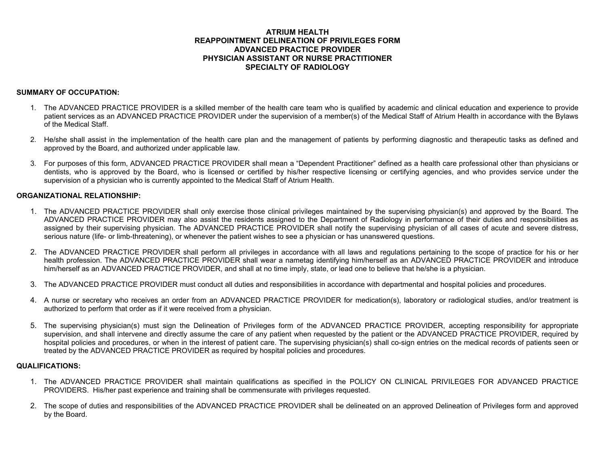## **ATRIUM HEALTH REAPPOINTMENT DELINEATION OF PRIVILEGES FORM ADVANCED PRACTICE PROVIDER PHYSICIAN ASSISTANT OR NURSE PRACTITIONER SPECIALTY OF RADIOLOGY**

### **SUMMARY OF OCCUPATION:**

- 1. The ADVANCED PRACTICE PROVIDER is a skilled member of the health care team who is qualified by academic and clinical education and experience to provide patient services as an ADVANCED PRACTICE PROVIDER under the supervision of a member(s) of the Medical Staff of Atrium Health in accordance with the Bylaws of the Medical Staff.
- 2. He/she shall assist in the implementation of the health care plan and the management of patients by performing diagnostic and therapeutic tasks as defined and approved by the Board, and authorized under applicable law.
- 3. For purposes of this form, ADVANCED PRACTICE PROVIDER shall mean a "Dependent Practitioner" defined as a health care professional other than physicians or dentists, who is approved by the Board, who is licensed or certified by his/her respective licensing or certifying agencies, and who provides service under the supervision of a physician who is currently appointed to the Medical Staff of Atrium Health.

### **ORGANIZATIONAL RELATIONSHIP:**

- 1. The ADVANCED PRACTICE PROVIDER shall only exercise those clinical privileges maintained by the supervising physician(s) and approved by the Board. The ADVANCED PRACTICE PROVIDER may also assist the residents assigned to the Department of Radiology in performance of their duties and responsibilities as assigned by their supervising physician. The ADVANCED PRACTICE PROVIDER shall notify the supervising physician of all cases of acute and severe distress, serious nature (life- or limb-threatening), or whenever the patient wishes to see a physician or has unanswered questions.
- 2. The ADVANCED PRACTICE PROVIDER shall perform all privileges in accordance with all laws and regulations pertaining to the scope of practice for his or her health profession. The ADVANCED PRACTICE PROVIDER shall wear a nametag identifying him/herself as an ADVANCED PRACTICE PROVIDER and introduce him/herself as an ADVANCED PRACTICE PROVIDER, and shall at no time imply, state, or lead one to believe that he/she is a physician.
- 3. The ADVANCED PRACTICE PROVIDER must conduct all duties and responsibilities in accordance with departmental and hospital policies and procedures.
- 4. A nurse or secretary who receives an order from an ADVANCED PRACTICE PROVIDER for medication(s), laboratory or radiological studies, and/or treatment is authorized to perform that order as if it were received from a physician.
- 5. The supervising physician(s) must sign the Delineation of Privileges form of the ADVANCED PRACTICE PROVIDER, accepting responsibility for appropriate supervision, and shall intervene and directly assume the care of any patient when requested by the patient or the ADVANCED PRACTICE PROVIDER, required by hospital policies and procedures, or when in the interest of patient care. The supervising physician(s) shall co-sign entries on the medical records of patients seen or treated by the ADVANCED PRACTICE PROVIDER as required by hospital policies and procedures.

## **QUALIFICATIONS:**

- 1. The ADVANCED PRACTICE PROVIDER shall maintain qualifications as specified in the POLICY ON CLINICAL PRIVILEGES FOR ADVANCED PRACTICE PROVIDERS. His/her past experience and training shall be commensurate with privileges requested.
- 2. The scope of duties and responsibilities of the ADVANCED PRACTICE PROVIDER shall be delineated on an approved Delineation of Privileges form and approved by the Board.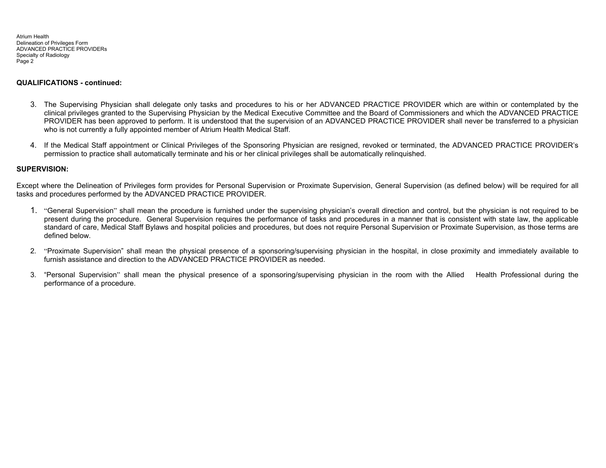#### **QUALIFICATIONS - continued:**

- 3. The Supervising Physician shall delegate only tasks and procedures to his or her ADVANCED PRACTICE PROVIDER which are within or contemplated by the clinical privileges granted to the Supervising Physician by the Medical Executive Committee and the Board of Commissioners and which the ADVANCED PRACTICE PROVIDER has been approved to perform. It is understood that the supervision of an ADVANCED PRACTICE PROVIDER shall never be transferred to a physician who is not currently a fully appointed member of Atrium Health Medical Staff.
- 4. If the Medical Staff appointment or Clinical Privileges of the Sponsoring Physician are resigned, revoked or terminated, the ADVANCED PRACTICE PROVIDER's permission to practice shall automatically terminate and his or her clinical privileges shall be automatically relinquished.

### **SUPERVISION:**

Except where the Delineation of Privileges form provides for Personal Supervision or Proximate Supervision, General Supervision (as defined below) will be required for all tasks and procedures performed by the ADVANCED PRACTICE PROVIDER.

- 1. "General Supervision" shall mean the procedure is furnished under the supervising physician's overall direction and control, but the physician is not required to be present during the procedure. General Supervision requires the performance of tasks and procedures in a manner that is consistent with state law, the applicable standard of care, Medical Staff Bylaws and hospital policies and procedures, but does not require Personal Supervision or Proximate Supervision, as those terms are defined below.
- 2. "Proximate Supervision" shall mean the physical presence of a sponsoring/supervising physician in the hospital, in close proximity and immediately available to furnish assistance and direction to the ADVANCED PRACTICE PROVIDER as needed.
- 3. "Personal Supervision" shall mean the physical presence of a sponsoring/supervising physician in the room with the Allied Health Professional during the performance of a procedure.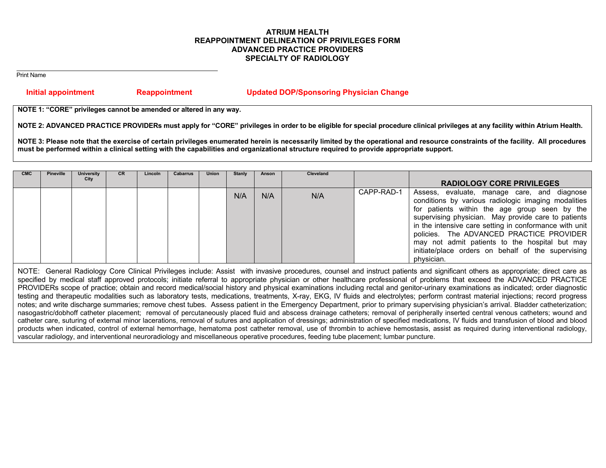# **ATRIUM HEALTH REAPPOINTMENT DELINEATION OF PRIVILEGES FORM ADVANCED PRACTICE PROVIDERS SPECIALTY OF RADIOLOGY**

Print Name

# **Initial appointment Reappointment Updated DOP/Sponsoring Physician Change**

**NOTE 1: "CORE" privileges cannot be amended or altered in any way.** 

NOTE 2: ADVANCED PRACTICE PROVIDERs must apply for "CORE" privileges in order to be eligible for special procedure clinical privileges at any facility within Atrium Health.

**NOTE 3: Please note that the exercise of certain privileges enumerated herein is necessarily limited by the operational and resource constraints of the facility. All procedures must be performed within a clinical setting with the capabilities and organizational structure required to provide appropriate support.** 

| <b>CMC</b> | <b>Pineville</b> | University | CR. | Lincoln | Cabarrus | Union | Stanly | Anson | Cleveland |            |                                                                                                                                                                                                                                                                                                                                                                                                                                        |
|------------|------------------|------------|-----|---------|----------|-------|--------|-------|-----------|------------|----------------------------------------------------------------------------------------------------------------------------------------------------------------------------------------------------------------------------------------------------------------------------------------------------------------------------------------------------------------------------------------------------------------------------------------|
|            |                  | City       |     |         |          |       |        |       |           |            | <b>RADIOLOGY CORE PRIVILEGES</b>                                                                                                                                                                                                                                                                                                                                                                                                       |
|            |                  |            |     |         |          |       | N/A    | N/A   | N/A       | CAPP-RAD-1 | Assess, evaluate, manage care, and diagnose<br>conditions by various radiologic imaging modalities<br>for patients within the age group seen by the<br>supervising physician. May provide care to patients<br>in the intensive care setting in conformance with unit<br>policies. The ADVANCED PRACTICE PROVIDER<br>may not admit patients to the hospital but may<br>initiate/place orders on behalf of the supervising<br>physician. |

NOTE: General Radiology Core Clinical Privileges include: Assist with invasive procedures, counsel and instruct patients and significant others as appropriate; direct care as specified by medical staff approved protocols; initiate referral to appropriate physician or other healthcare professional of problems that exceed the ADVANCED PRACTICE PROVIDERs scope of practice; obtain and record medical/social history and physical examinations including rectal and genitor-urinary examinations as indicated; order diagnostic testing and therapeutic modalities such as laboratory tests, medications, treatments, X-ray, EKG, IV fluids and electrolytes; perform contrast material injections; record progress notes; and write discharge summaries; remove chest tubes. Assess patient in the Emergency Department, prior to primary supervising physician's arrival. Bladder catheterization; nasogastric/dobhoff catheter placement; removal of percutaneously placed fluid and abscess drainage catheters; removal of peripherally inserted central venous catheters; wound and catheter care, suturing of external minor lacerations, removal of sutures and application of dressings; administration of specified medications, IV fluids and transfusion of blood and blood products when indicated, control of external hemorrhage, hematoma post catheter removal, use of thrombin to achieve hemostasis, assist as required during interventional radiology, vascular radiology, and interventional neuroradiology and miscellaneous operative procedures, feeding tube placement; lumbar puncture.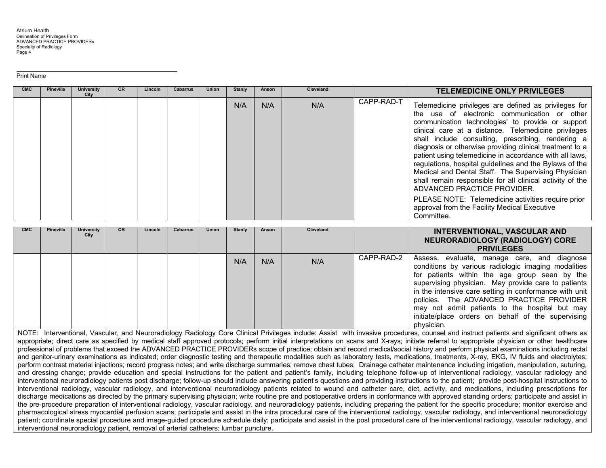Print Name

| <b>CMC</b> | <b>Pineville</b> | University<br>City | CR. | Lincoln | Cabarrus | <b>Union</b> | Stanly | Anson | <b>Cleveland</b> |            | <b>TELEMEDICINE ONLY PRIVILEGES</b>                                                                                                                                                                                                                                                                                                                                                                                                                                                                                                                                                                                                                                                                                              |
|------------|------------------|--------------------|-----|---------|----------|--------------|--------|-------|------------------|------------|----------------------------------------------------------------------------------------------------------------------------------------------------------------------------------------------------------------------------------------------------------------------------------------------------------------------------------------------------------------------------------------------------------------------------------------------------------------------------------------------------------------------------------------------------------------------------------------------------------------------------------------------------------------------------------------------------------------------------------|
|            |                  |                    |     |         |          |              | N/A    | N/A   | N/A              | CAPP-RAD-T | Telemedicine privileges are defined as privileges for<br>the use of electronic communication or other<br>communication technologies' to provide or support<br>clinical care at a distance. Telemedicine privileges<br>shall include consulting, prescribing, rendering a<br>diagnosis or otherwise providing clinical treatment to a<br>patient using telemedicine in accordance with all laws,<br>regulations, hospital guidelines and the Bylaws of the<br>Medical and Dental Staff. The Supervising Physician<br>shall remain responsible for all clinical activity of the<br>ADVANCED PRACTICE PROVIDER.<br>PLEASE NOTE: Telemedicine activities require prior<br>approval from the Facility Medical Executive<br>Committee. |

| <b>CMC</b> | <b>Pineville</b> | <b>University</b><br>City | CR. | Lincoln | Cabarrus | <b>Union</b> | <b>Stanly</b> | Anson | <b>Cleveland</b> |            | <b>INTERVENTIONAL, VASCULAR AND</b><br>NEURORADIOLOGY (RADIOLOGY) CORE<br><b>PRIVILEGES</b>                                                                                                                                                                                                                                                                                                                                            |
|------------|------------------|---------------------------|-----|---------|----------|--------------|---------------|-------|------------------|------------|----------------------------------------------------------------------------------------------------------------------------------------------------------------------------------------------------------------------------------------------------------------------------------------------------------------------------------------------------------------------------------------------------------------------------------------|
|            |                  |                           |     |         |          |              | N/A           | N/A   | N/A              | CAPP-RAD-2 | Assess, evaluate, manage care, and diagnose<br>conditions by various radiologic imaging modalities<br>for patients within the age group seen by the<br>supervising physician. May provide care to patients<br>in the intensive care setting in conformance with unit<br>policies. The ADVANCED PRACTICE PROVIDER<br>may not admit patients to the hospital but may<br>initiate/place orders on behalf of the supervising<br>physician. |

NOTE: Interventional, Vascular, and Neuroradiology Radiology Core Clinical Privileges include: Assist with invasive procedures, counsel and instruct patients and significant others as appropriate; direct care as specified by medical staff approved protocols; perform initial interpretations on scans and X-rays; initiate referral to appropriate physician or other healthcare professional of problems that exceed the ADVANCED PRACTICE PROVIDERs scope of practice; obtain and record medical/social history and perform physical examinations including rectal and genitor-urinary examinations as indicated; order diagnostic testing and therapeutic modalities such as laboratory tests, medications, treatments, X-ray, EKG, IV fluids and electrolytes; perform contrast material injections; record progress notes; and write discharge summaries; remove chest tubes; Drainage catheter maintenance including irrigation, manipulation, suturing, and dressing change; provide education and special instructions for the patient and patient's family, including telephone follow-up of interventional radiology, vascular radiology and interventional neuroradiology patients post discharge; follow-up should include answering patient's questions and providing instructions to the patient; provide post-hospital instructions to interventional radiology, vascular radiology, and interventional neuroradiology patients related to wound and catheter care, diet, activity, and medications, including prescriptions for discharge medications as directed by the primary supervising physician; write routine pre and postoperative orders in conformance with approved standing orders; participate and assist in the pre-procedure preparation of interventional radiology, vascular radiology, and neuroradiology patients, including preparing the patient for the specific procedure; monitor exercise and pharmacological stress myocardial perfusion scans; participate and assist in the intra procedural care of the interventional radiology, vascular radiology, and interventional neuroradiology patient; coordinate special procedure and image-guided procedure schedule daily; participate and assist in the post procedural care of the interventional radiology, vascular radiology, and interventional neuroradiology patient, removal of arterial catheters; lumbar puncture.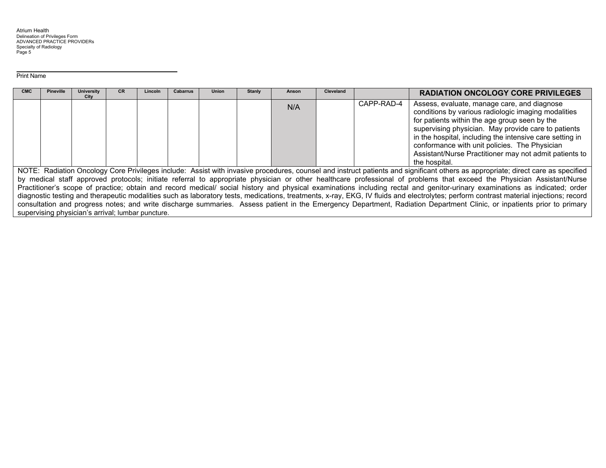Print Name

| <b>CMC</b> | <b>Pineville</b>                                                                                                                                                        | <b>University</b><br>City                         | CR | Lincoln | Cabarrus | <b>Union</b> | <b>Stanly</b> | Anson | <b>Cleveland</b> |            | <b>RADIATION ONCOLOGY CORE PRIVILEGES</b>                                                                                                                                                                                                                                                                                                                                                          |  |
|------------|-------------------------------------------------------------------------------------------------------------------------------------------------------------------------|---------------------------------------------------|----|---------|----------|--------------|---------------|-------|------------------|------------|----------------------------------------------------------------------------------------------------------------------------------------------------------------------------------------------------------------------------------------------------------------------------------------------------------------------------------------------------------------------------------------------------|--|
|            |                                                                                                                                                                         |                                                   |    |         |          |              |               | N/A   |                  | CAPP-RAD-4 | Assess, evaluate, manage care, and diagnose<br>conditions by various radiologic imaging modalities<br>for patients within the age group seen by the<br>supervising physician. May provide care to patients<br>in the hospital, including the intensive care setting in<br>conformance with unit policies. The Physician<br>Assistant/Nurse Practitioner may not admit patients to<br>the hospital. |  |
|            |                                                                                                                                                                         |                                                   |    |         |          |              |               |       |                  |            | NOTE: Radiation Oncology Core Privileges include: Assist with invasive procedures, counsel and instruct patients and significant others as appropriate; direct care as specified                                                                                                                                                                                                                   |  |
|            | by medical staff approved protocols; initiate referral to appropriate physician or other healthcare professional of problems that exceed the Physician Assistant/Nurse  |                                                   |    |         |          |              |               |       |                  |            |                                                                                                                                                                                                                                                                                                                                                                                                    |  |
|            |                                                                                                                                                                         |                                                   |    |         |          |              |               |       |                  |            | Practitioner's scope of practice; obtain and record medical/ social history and physical examinations including rectal and genitor-urinary examinations as indicated; order                                                                                                                                                                                                                        |  |
|            |                                                                                                                                                                         |                                                   |    |         |          |              |               |       |                  |            | diagnostic testing and therapeutic modalities such as laboratory tests, medications, treatments, x-ray, EKG, IV fluids and electrolytes; perform contrast material injections; record                                                                                                                                                                                                              |  |
|            | consultation and progress notes; and write discharge summaries. Assess patient in the Emergency Department, Radiation Department Clinic, or inpatients prior to primary |                                                   |    |         |          |              |               |       |                  |            |                                                                                                                                                                                                                                                                                                                                                                                                    |  |
|            |                                                                                                                                                                         | supervising physician's arrival; lumbar puncture. |    |         |          |              |               |       |                  |            |                                                                                                                                                                                                                                                                                                                                                                                                    |  |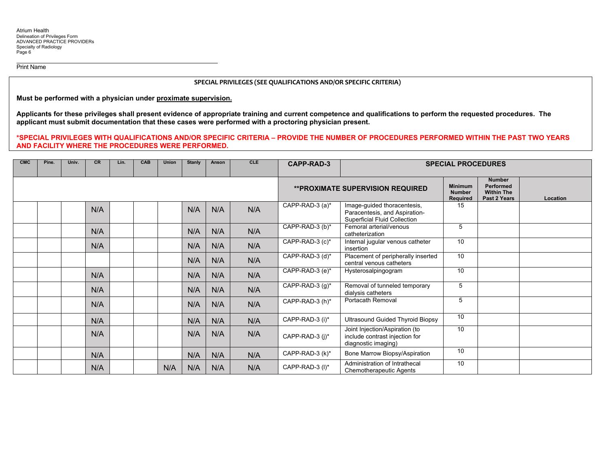Print Name

#### **SPECIAL PRIVILEGES (SEE QUALIFICATIONS AND/OR SPECIFIC CRITERIA)**

**Must be performed with a physician under proximate supervision.** 

**Applicants for these privileges shall present evidence of appropriate training and current competence and qualifications to perform the requested procedures. The applicant must submit documentation that these cases were performed with a proctoring physician present.** 

**\*SPECIAL PRIVILEGES WITH QUALIFICATIONS AND/OR SPECIFIC CRITERIA – PROVIDE THE NUMBER OF PROCEDURES PERFORMED WITHIN THE PAST TWO YEARS AND FACILITY WHERE THE PROCEDURES WERE PERFORMED.** 

| <b>CMC</b> | Pine. | Univ. | <b>CR</b> | Lin. | CAB | Union | <b>Stanly</b> | Anson | <b>CLE</b> | <b>CAPP-RAD-3</b>  | <b>SPECIAL PROCEDURES</b>                                                                           |                                             |                                                                        |          |
|------------|-------|-------|-----------|------|-----|-------|---------------|-------|------------|--------------------|-----------------------------------------------------------------------------------------------------|---------------------------------------------|------------------------------------------------------------------------|----------|
|            |       |       |           |      |     |       |               |       |            |                    | <b>**PROXIMATE SUPERVISION REQUIRED</b>                                                             | <b>Minimum</b><br><b>Number</b><br>Required | <b>Number</b><br><b>Performed</b><br><b>Within The</b><br>Past 2 Years | Location |
|            |       |       | N/A       |      |     |       | N/A           | N/A   | N/A        | CAPP-RAD-3 (a)*    | Image-guided thoracentesis,<br>Paracentesis, and Aspiration-<br><b>Superficial Fluid Collection</b> | 15                                          |                                                                        |          |
|            |       |       | N/A       |      |     |       | N/A           | N/A   | N/A        | CAPP-RAD-3 (b)*    | Femoral arterial/venous<br>catheterization                                                          | 5                                           |                                                                        |          |
|            |       |       | N/A       |      |     |       | N/A           | N/A   | N/A        | CAPP-RAD-3 (c)*    | Internal jugular venous catheter<br>insertion                                                       | 10                                          |                                                                        |          |
|            |       |       |           |      |     |       | N/A           | N/A   | N/A        | CAPP-RAD-3 (d)*    | Placement of peripherally inserted<br>central venous catheters                                      | 10                                          |                                                                        |          |
|            |       |       | N/A       |      |     |       | N/A           | N/A   | N/A        | CAPP-RAD-3 (e)*    | Hysterosalpingogram                                                                                 | 10                                          |                                                                        |          |
|            |       |       | N/A       |      |     |       | N/A           | N/A   | N/A        | CAPP-RAD-3 $(g)^*$ | Removal of tunneled temporary<br>dialysis catheters                                                 | 5                                           |                                                                        |          |
|            |       |       | N/A       |      |     |       | N/A           | N/A   | N/A        | CAPP-RAD-3 (h)*    | <b>Portacath Removal</b>                                                                            | 5                                           |                                                                        |          |
|            |       |       | N/A       |      |     |       | N/A           | N/A   | N/A        | CAPP-RAD-3 (i)*    | <b>Ultrasound Guided Thyroid Biopsy</b>                                                             | 10                                          |                                                                        |          |
|            |       |       | N/A       |      |     |       | N/A           | N/A   | N/A        | CAPP-RAD-3 (i)*    | Joint Injection/Aspiration (to<br>include contrast injection for<br>diagnostic imaging)             | 10                                          |                                                                        |          |
|            |       |       | N/A       |      |     |       | N/A           | N/A   | N/A        | CAPP-RAD-3 (k)*    | Bone Marrow Biopsy/Aspiration                                                                       | 10                                          |                                                                        |          |
|            |       |       | N/A       |      |     | N/A   | N/A           | N/A   | N/A        | CAPP-RAD-3 (I)*    | Administration of Intrathecal<br>Chemotherapeutic Agents                                            | $\overline{10}$                             |                                                                        |          |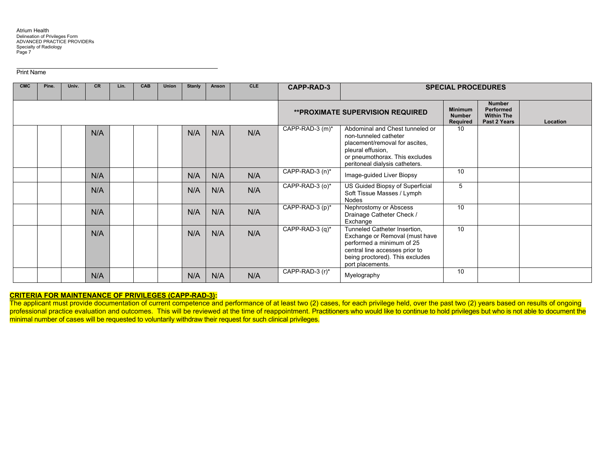Print Name

| <b>CMC</b> | Pine. | Univ. | <b>CR</b> | Lin. | <b>CAB</b> | <b>Union</b> | <b>Stanly</b> | Anson | <b>CLE</b> | <b>CAPP-RAD-3</b> |                                                                                                                                                                                      | <b>SPECIAL PROCEDURES</b>                   |                                                                 |          |
|------------|-------|-------|-----------|------|------------|--------------|---------------|-------|------------|-------------------|--------------------------------------------------------------------------------------------------------------------------------------------------------------------------------------|---------------------------------------------|-----------------------------------------------------------------|----------|
|            |       |       |           |      |            |              |               |       |            |                   | <b>**PROXIMATE SUPERVISION REQUIRED</b>                                                                                                                                              | <b>Minimum</b><br><b>Number</b><br>Required | <b>Number</b><br>Performed<br><b>Within The</b><br>Past 2 Years | Location |
|            |       |       | N/A       |      |            |              | N/A           | N/A   | N/A        | CAPP-RAD-3 (m)*   | Abdominal and Chest tunneled or<br>non-tunneled catheter<br>placement/removal for ascites,<br>pleural effusion,<br>or pneumothorax. This excludes<br>peritoneal dialysis catheters.  | 10                                          |                                                                 |          |
|            |       |       | N/A       |      |            |              | N/A           | N/A   | N/A        | CAPP-RAD-3 (n)*   | Image-guided Liver Biopsy                                                                                                                                                            | 10                                          |                                                                 |          |
|            |       |       | N/A       |      |            |              | N/A           | N/A   | N/A        | CAPP-RAD-3 (o)*   | US Guided Biopsy of Superficial<br>Soft Tissue Masses / Lymph<br>Nodes                                                                                                               | 5                                           |                                                                 |          |
|            |       |       | N/A       |      |            |              | N/A           | N/A   | N/A        | CAPP-RAD-3 (p)*   | Nephrostomy or Abscess<br>Drainage Catheter Check /<br>Exchange                                                                                                                      | 10                                          |                                                                 |          |
|            |       |       | N/A       |      |            |              | N/A           | N/A   | N/A        | CAPP-RAD-3 (q)*   | Tunneled Catheter Insertion,<br>Exchange or Removal (must have<br>performed a minimum of 25<br>central line accesses prior to<br>being proctored). This excludes<br>port placements. | 10                                          |                                                                 |          |
|            |       |       | N/A       |      |            |              | N/A           | N/A   | N/A        | CAPP-RAD-3 (r)*   | Myelography                                                                                                                                                                          | 10                                          |                                                                 |          |

#### **CRITERIA FOR MAINTENANCE OF PRIVILEGES (CAPP-RAD-3):**

The applicant must provide documentation of current competence and performance of at least two (2) cases, for each privilege held, over the past two (2) years based on results of ongoing professional practice evaluation and outcomes. This will be reviewed at the time of reappointment. Practitioners who would like to continue to hold privileges but who is not able to document the minimal number of cases will be requested to voluntarily withdraw their request for such clinical privileges.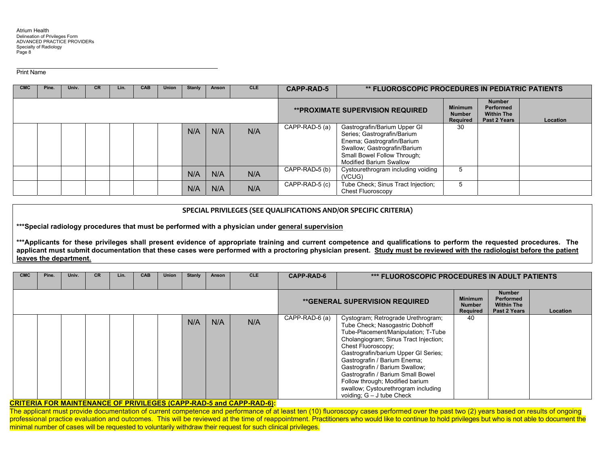Print Name

| <b>CMC</b> | Pine. | Univ. | <b>CR</b> | Lin. | <b>CAB</b> | <b>Union</b> | <b>Stanly</b> | Anson | <b>CLE</b> | <b>CAPP-RAD-5</b>           | <b>** FLUOROSCOPIC PROCEDURES IN PEDIATRIC PATIENTS</b>                                                                                                                                    |                                             |                                                                 |          |
|------------|-------|-------|-----------|------|------------|--------------|---------------|-------|------------|-----------------------------|--------------------------------------------------------------------------------------------------------------------------------------------------------------------------------------------|---------------------------------------------|-----------------------------------------------------------------|----------|
|            |       |       |           |      |            |              |               |       |            |                             | <b>**PROXIMATE SUPERVISION REQUIRED</b>                                                                                                                                                    | <b>Minimum</b><br><b>Number</b><br>Required | <b>Number</b><br>Performed<br><b>Within The</b><br>Past 2 Years | Location |
|            |       |       |           |      |            |              | N/A           | N/A   | N/A        | $\overline{CAPP-RAD-5}$ (a) | Gastrografin/Barium Upper GI<br>Series; Gastrografin/Barium<br>Enema; Gastrografin/Barium<br>Swallow; Gastrografin/Barium<br>Small Bowel Follow Through;<br><b>Modified Barium Swallow</b> | 30                                          |                                                                 |          |
|            |       |       |           |      |            |              | N/A           | N/A   | N/A        | CAPP-RAD-5 (b)              | Cystourethrogram including voiding<br>(VCUG)                                                                                                                                               |                                             |                                                                 |          |
|            |       |       |           |      |            |              | N/A           | N/A   | N/A        | CAPP-RAD-5 (c)              | Tube Check; Sinus Tract Injection;<br>Chest Fluoroscopy                                                                                                                                    |                                             |                                                                 |          |

## **SPECIAL PRIVILEGES (SEE QUALIFICATIONS AND/OR SPECIFIC CRITERIA)**

**\*\*\*Special radiology procedures that must be performed with a physician under general supervision** 

**\*\*\*Applicants for these privileges shall present evidence of appropriate training and current competence and qualifications to perform the requested procedures. The applicant must submit documentation that these cases were performed with a proctoring physician present. Study must be reviewed with the radiologist before the patient leaves the department.**

| <b>CMC</b> | Pine. | Univ. | CR. | Lin. | <b>CAB</b> | <b>Union</b> | Stanly | Anson | <b>CLE</b> | <b>CAPP-RAD-6</b> | <b>*** FLUOROSCOPIC PROCEDURES IN ADULT PATIENTS</b>                                                                                                                                                                                                                                                                                                                                                                                |                                             |                                                                 |          |
|------------|-------|-------|-----|------|------------|--------------|--------|-------|------------|-------------------|-------------------------------------------------------------------------------------------------------------------------------------------------------------------------------------------------------------------------------------------------------------------------------------------------------------------------------------------------------------------------------------------------------------------------------------|---------------------------------------------|-----------------------------------------------------------------|----------|
|            |       |       |     |      |            |              |        |       |            |                   | <b>**GENERAL SUPERVISION REQUIRED</b>                                                                                                                                                                                                                                                                                                                                                                                               | <b>Minimum</b><br><b>Number</b><br>Required | <b>Number</b><br>Performed<br><b>Within The</b><br>Past 2 Years | Location |
|            |       |       |     |      |            |              | N/A    | N/A   | N/A        | CAPP-RAD-6 (a)    | Cystogram; Retrograde Urethrogram;<br>Tube Check; Nasogastric Dobhoff<br>Tube-Placement/Manipulation; T-Tube<br>Cholangiogram; Sinus Tract Injection;<br>Chest Fluoroscopy;<br>Gastrografin/barium Upper GI Series;<br>Gastrografin / Barium Enema;<br>Gastrografin / Barium Swallow;<br>Gastrografin / Barium Small Bowel<br>Follow through; Modified barium<br>swallow; Cystourethrogram including<br>voiding; $G - J$ tube Check | 40                                          |                                                                 |          |

### **CRITERIA FOR MAINTENANCE OF PRIVILEGES (CAPP-RAD-5 and CAPP-RAD-6):**

The applicant must provide documentation of current competence and performance of at least ten (10) fluoroscopy cases performed over the past two (2) years based on results of ongoing professional practice evaluation and outcomes. This will be reviewed at the time of reappointment. Practitioners who would like to continue to hold privileges but who is not able to document the minimal number of cases will be requested to voluntarily withdraw their request for such clinical privileges.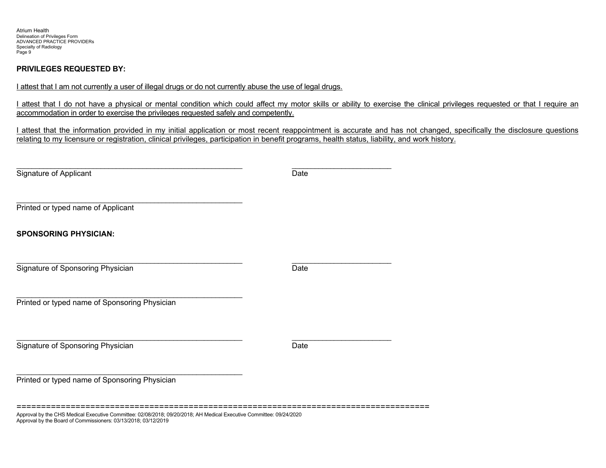# **PRIVILEGES REQUESTED BY:**

Approval by the Board of Commissioners: 03/13/2018; 03/12/2019

|  |  | I attest that I am not currently a user of illegal drugs or do not currently abuse the use of legal drugs. |  |
|--|--|------------------------------------------------------------------------------------------------------------|--|
|--|--|------------------------------------------------------------------------------------------------------------|--|

I attest that I do not have a physical or mental condition which could affect my motor skills or ability to exercise the clinical privileges requested or that I require an accommodation in order to exercise the privileges requested safely and competently.

I attest that the information provided in my initial application or most recent reappointment is accurate and has not changed, specifically the disclosure questions relating to my licensure or registration, clinical privileges, participation in benefit programs, health status, liability, and work history.

| Signature of Applicant                                                                                              | Date |  |
|---------------------------------------------------------------------------------------------------------------------|------|--|
| Printed or typed name of Applicant                                                                                  |      |  |
| <b>SPONSORING PHYSICIAN:</b>                                                                                        |      |  |
| Signature of Sponsoring Physician                                                                                   | Date |  |
| Printed or typed name of Sponsoring Physician                                                                       |      |  |
| Signature of Sponsoring Physician                                                                                   | Date |  |
| Printed or typed name of Sponsoring Physician                                                                       |      |  |
| Approval by the CHS Medical Executive Committee: 02/08/2018; 09/20/2018; AH Medical Executive Committee: 09/24/2020 |      |  |